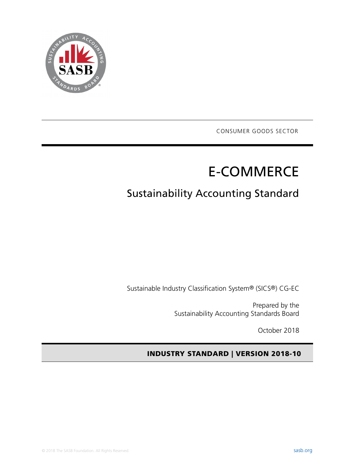

CONSUMER GOODS SECTOR

# E-COMMERCE

## Sustainability Accounting Standard

Sustainable Industry Classification System® (SICS®) CG-EC

Prepared by the Sustainability Accounting Standards Board

October 2018

### INDUSTRY STANDARD | VERSION 2018-10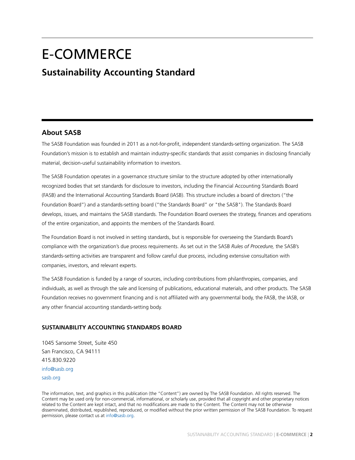# E-COMMERCE **Sustainability Accounting Standard**

#### **About SASB**

The SASB Foundation was founded in 2011 as a not-for-profit, independent standards-setting organization. The SASB Foundation's mission is to establish and maintain industry-specific standards that assist companies in disclosing financially material, decision-useful sustainability information to investors.

The SASB Foundation operates in a governance structure similar to the structure adopted by other internationally recognized bodies that set standards for disclosure to investors, including the Financial Accounting Standards Board (FASB) and the International Accounting Standards Board (IASB). This structure includes a board of directors ("the Foundation Board") and a standards-setting board ("the Standards Board" or "the SASB"). The Standards Board develops, issues, and maintains the SASB standards. The Foundation Board oversees the strategy, finances and operations of the entire organization, and appoints the members of the Standards Board.

The Foundation Board is not involved in setting standards, but is responsible for overseeing the Standards Board's compliance with the organization's due process requirements. As set out in the SASB *Rules of Procedure,* the SASB's standards-setting activities are transparent and follow careful due process, including extensive consultation with companies, investors, and relevant experts.

The SASB Foundation is funded by a range of sources, including contributions from philanthropies, companies, and individuals, as well as through the sale and licensing of publications, educational materials, and other products. The SASB Foundation receives no government financing and is not affiliated with any governmental body, the FASB, the IASB, or any other financial accounting standards-setting body.

#### **SUSTAINABILITY ACCOUNTING STANDARDS BOARD**

1045 Sansome Street, Suite 450 San Francisco, CA 94111 415.830.9220 [info@sasb.org](mailto:info@sasb.org) [sasb.org](https://www.sasb.org/)

The information, text, and graphics in this publication (the "Content") are owned by The SASB Foundation. All rights reserved. The Content may be used only for non-commercial, informational, or scholarly use, provided that all copyright and other proprietary notices related to the Content are kept intact, and that no modifications are made to the Content. The Content may not be otherwise disseminated, distributed, republished, reproduced, or modified without the prior written permission of The SASB Foundation. To request permission, please contact us at [info@sasb.org](mailto:info@sasb.org).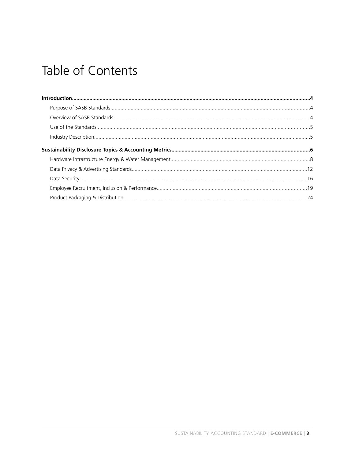# Table of Contents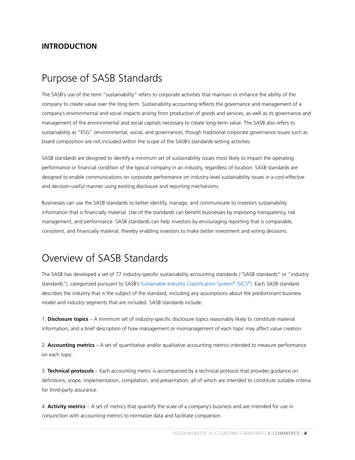#### <span id="page-3-2"></span>**INTRODUCTION**

## <span id="page-3-1"></span>Purpose of SASB Standards

The SASB's use of the term "sustainability" refers to corporate activities that maintain or enhance the ability of the company to create value over the long term. Sustainability accounting reflects the governance and management of a company's environmental and social impacts arising from production of goods and services, as well as its governance and management of the environmental and social capitals necessary to create long-term value. The SASB also refers to sustainability as "ESG" (environmental, social, and governance), though traditional corporate governance issues such as board composition are not included within the scope of the SASB's standards-setting activities.

SASB standards are designed to identify a minimum set of sustainability issues most likely to impact the operating performance or financial condition of the typical company in an industry, regardless of location. SASB standards are designed to enable communications on corporate performance on industry-level sustainability issues in a cost-effective and decision-useful manner using existing disclosure and reporting mechanisms.

Businesses can use the SASB standards to better identify, manage, and communicate to investors sustainability information that is financially material. Use of the standards can benefit businesses by improving transparency, risk management, and performance. SASB standards can help investors by encouraging reporting that is comparable, consistent, and financially material, thereby enabling investors to make better investment and voting decisions.

## <span id="page-3-0"></span>Overview of SASB Standards

The SASB has developed a set of 77 industry-specific sustainability accounting standards ("SASB standards" or "industry standards"), categorized pursuant to SASB's [Sustainable Industry Classification System](https://www.sasb.org/find-your-industry)® (SICS®). Each SASB standard describes the industry that is the subject of the standard, including any assumptions about the predominant business model and industry segments that are included. SASB standards include:

1. **Disclosure topics** – A minimum set of industry-specific disclosure topics reasonably likely to constitute material information, and a brief description of how management or mismanagement of each topic may affect value creation.

2. **Accounting metrics** – A set of quantitative and/or qualitative accounting metrics intended to measure performance on each topic.

3. **Technical protocols** – Each accounting metric is accompanied by a technical protocol that provides guidance on definitions, scope, implementation, compilation, and presentation, all of which are intended to constitute suitable criteria for third-party assurance.

4. **Activity metrics** – A set of metrics that quantify the scale of a company's business and are intended for use in conjunction with accounting metrics to normalize data and facilitate comparison.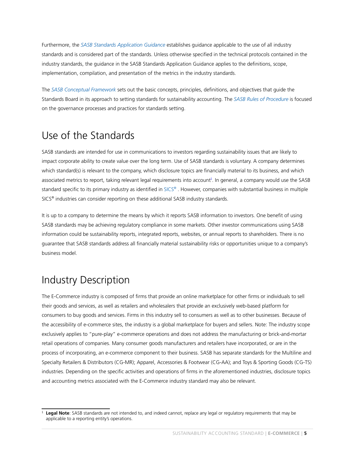Furthermore, the *[SASB Standards Application Guidance](https://www.sasb.org/standards-overview/download-current-standards/)* establishes guidance applicable to the use of all industry standards and is considered part of the standards. Unless otherwise specified in the technical protocols contained in the industry standards, the guidance in the SASB Standards Application Guidance applies to the definitions, scope, implementation, compilation, and presentation of the metrics in the industry standards.

The *[SASB Conceptual Framework](https://www.sasb.org/standards-setting-process/conceptual-framework/)* sets out the basic concepts, principles, definitions, and objectives that guide the Standards Board in its approach to setting standards for sustainability accounting. The *[SASB Rules of Procedure](https://www.sasb.org/standards-setting-process/rules-of-procedure/)* is focused on the governance processes and practices for standards setting.

## <span id="page-4-1"></span>Use of the Standards

SASB standards are intended for use in communications to investors regarding sustainability issues that are likely to impact corporate ability to create value over the long term. Use of SASB standards is voluntary. A company determines which standard(s) is relevant to the company, which disclosure topics are financially material to its business, and which associated metrics to report, taking relevant legal requirements into account<sup>[1](#page-4-2)</sup>. In general, a company would use the SASB standard specific to its primary industry as identified in [SICS](https://www.sasb.org/find-your-industry/)®. However, companies with substantial business in multiple SICS® industries can consider reporting on these additional SASB industry standards.

It is up to a company to determine the means by which it reports SASB information to investors. One benefit of using SASB standards may be achieving regulatory compliance in some markets. Other investor communications using SASB information could be sustainability reports, integrated reports, websites, or annual reports to shareholders. There is no guarantee that SASB standards address all financially material sustainability risks or opportunities unique to a company's business model.

## <span id="page-4-0"></span>Industry Description

The E-Commerce industry is composed of firms that provide an online marketplace for other firms or individuals to sell their goods and services, as well as retailers and wholesalers that provide an exclusively web-based platform for consumers to buy goods and services. Firms in this industry sell to consumers as well as to other businesses. Because of the accessibility of e-commerce sites, the industry is a global marketplace for buyers and sellers. Note: The industry scope exclusively applies to "pure-play" e-commerce operations and does not address the manufacturing or brick-and-mortar retail operations of companies. Many consumer goods manufacturers and retailers have incorporated, or are in the process of incorporating, an e-commerce component to their business. SASB has separate standards for the Multiline and Specialty Retailers & Distributors (CG-MR); Apparel, Accessories & Footwear (CG-AA); and Toys & Sporting Goods (CG-TS) industries. Depending on the specific activities and operations of firms in the aforementioned industries, disclosure topics and accounting metrics associated with the E-Commerce industry standard may also be relevant.

<span id="page-4-2"></span><sup>1</sup> **Legal Note**: SASB standards are not intended to, and indeed cannot, replace any legal or regulatory requirements that may be applicable to a reporting entity's operations.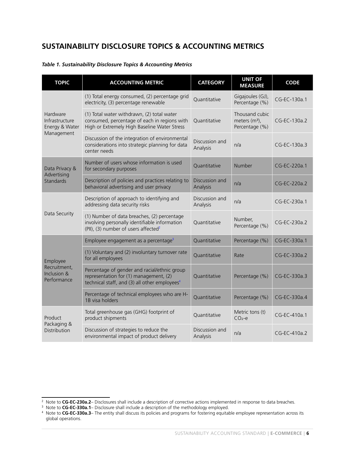### <span id="page-5-0"></span>**SUSTAINABILITY DISCLOSURE TOPICS & ACCOUNTING METRICS**

| <b>TOPIC</b>                                               | <b>ACCOUNTING METRIC</b>                                                                                                                            | <b>CATEGORY</b>            | <b>UNIT OF</b><br><b>MEASURE</b>                    | <b>CODE</b>    |
|------------------------------------------------------------|-----------------------------------------------------------------------------------------------------------------------------------------------------|----------------------------|-----------------------------------------------------|----------------|
| Hardware<br>Infrastructure<br>Energy & Water<br>Management | (1) Total energy consumed, (2) percentage grid<br>electricity, (3) percentage renewable                                                             | Quantitative               | Gigajoules (GJ),<br>Percentage (%)                  | CG-EC-130a.1   |
|                                                            | (1) Total water withdrawn, (2) total water<br>consumed, percentage of each in regions with<br>High or Extremely High Baseline Water Stress          | Ouantitative               | Thousand cubic<br>meters $(m3)$ ,<br>Percentage (%) | $CG-EC-130a.2$ |
|                                                            | Discussion of the integration of environmental<br>considerations into strategic planning for data<br>center needs                                   | Discussion and<br>Analysis | n/a                                                 | CG-EC-130a.3   |
| Data Privacy &<br>Advertising<br><b>Standards</b>          | Number of users whose information is used<br>for secondary purposes                                                                                 | Quantitative               | Number                                              | CG-EC-220a.1   |
|                                                            | Description of policies and practices relating to<br>behavioral advertising and user privacy                                                        | Discussion and<br>Analysis | n/a                                                 | $CG-EC-220a.2$ |
| Data Security                                              | Description of approach to identifying and<br>addressing data security risks                                                                        | Discussion and<br>Analysis | n/a                                                 | CG-EC-230a.1   |
|                                                            | (1) Number of data breaches, (2) percentage<br>involving personally identifiable information<br>(PII), (3) number of users affected <sup>2</sup>    | Quantitative               | Number,<br>Percentage (%)                           | CG-EC-230a.2   |
| Employee<br>Recruitment,<br>Inclusion &<br>Performance     | Employee engagement as a percentage <sup>3</sup>                                                                                                    | Quantitative               | Percentage (%)                                      | CG-EC-330a.1   |
|                                                            | (1) Voluntary and (2) involuntary turnover rate<br>for all employees                                                                                | Quantitative               | Rate                                                | $CG-EC-330a.2$ |
|                                                            | Percentage of gender and racial/ethnic group<br>representation for (1) management, (2)<br>technical staff, and (3) all other employees <sup>4</sup> | Quantitative               | Percentage (%)                                      | $CG-EC-330a.3$ |
|                                                            | Percentage of technical employees who are H-<br>1B visa holders                                                                                     | Quantitative               | Percentage (%)                                      | CG-EC-330a.4   |
| Product<br>Packaging &<br>Distribution                     | Total greenhouse gas (GHG) footprint of<br>product shipments                                                                                        | Quantitative               | Metric tons (t)<br>$CO2-e$                          | CG-EC-410a.1   |
|                                                            | Discussion of strategies to reduce the<br>environmental impact of product delivery                                                                  | Discussion and<br>Analysis | n/a                                                 | CG-EC-410a.2   |

#### *Table 1. Sustainability Disclosure Topics & Accounting Metrics*

<span id="page-5-1"></span><sup>2</sup> Note to **CG-EC-230a.2**– Disclosures shall include a description of corrective actions implemented in response to data breaches.

<span id="page-5-2"></span><sup>3</sup> Note to **CG-EC-330a.1**– Disclosure shall include a description of the methodology employed.

<span id="page-5-3"></span><sup>4</sup> Note to **CG-EC-330a.3**– The entity shall discuss its policies and programs for fostering equitable employee representation across its global operations.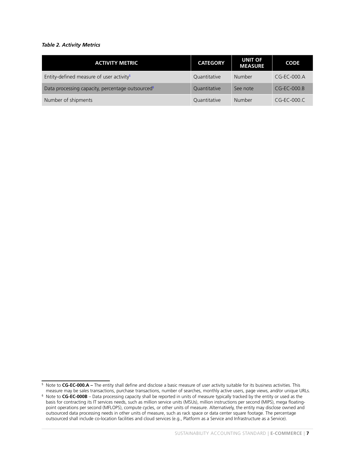#### *Table 2. Activity Metrics*

| <b>ACTIVITY METRIC</b>                                       | <b>CATEGORY</b> | <b>UNIT OF</b><br><b>MEASURE</b> | <b>CODE</b>   |
|--------------------------------------------------------------|-----------------|----------------------------------|---------------|
| Entity-defined measure of user activity <sup>5</sup>         | Quantitative    | Number                           | $CG-EC-000.A$ |
| Data processing capacity, percentage outsourced <sup>6</sup> | Quantitative    | See note                         | $CG-EC-000.B$ |
| Number of shipments                                          | Quantitative    | Number                           | $CG-EC-000.C$ |

<span id="page-6-0"></span><sup>5</sup> Note to **CG-EC-000.A –** The entity shall define and disclose a basic measure of user activity suitable for its business activities. This measure may be sales transactions, purchase transactions, number of searches, monthly active users, page views, and/or unique URLs.

<span id="page-6-1"></span><sup>&</sup>lt;sup>6</sup> Note to **CG-EC-000B** – Data processing capacity shall be reported in units of measure typically tracked by the entity or used as the basis for contracting its IT services needs, such as million service units (MSUs), million instructions per second (MIPS), mega floatingpoint operations per second (MFLOPS), compute cycles, or other units of measure. Alternatively, the entity may disclose owned and outsourced data processing needs in other units of measure, such as rack space or data center square footage. The percentage outsourced shall include co-location facilities and cloud services (e.g., Platform as a Service and Infrastructure as a Service).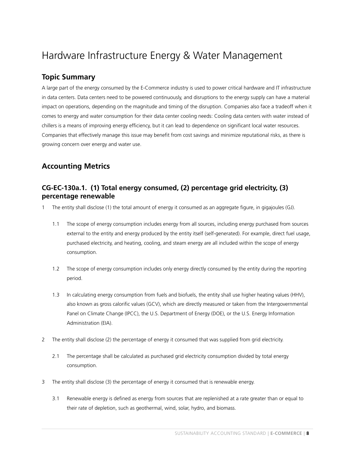## <span id="page-7-0"></span>Hardware Infrastructure Energy & Water Management

### **Topic Summary**

A large part of the energy consumed by the E-Commerce industry is used to power critical hardware and IT infrastructure in data centers. Data centers need to be powered continuously, and disruptions to the energy supply can have a material impact on operations, depending on the magnitude and timing of the disruption. Companies also face a tradeoff when it comes to energy and water consumption for their data center cooling needs: Cooling data centers with water instead of chillers is a means of improving energy efficiency, but it can lead to dependence on significant local water resources. Companies that effectively manage this issue may benefit from cost savings and minimize reputational risks, as there is growing concern over energy and water use.

### **Accounting Metrics**

#### **CG-EC-130a.1. (1) Total energy consumed, (2) percentage grid electricity, (3) percentage renewable**

- 1 The entity shall disclose (1) the total amount of energy it consumed as an aggregate figure, in gigajoules (GJ).
	- 1.1 The scope of energy consumption includes energy from all sources, including energy purchased from sources external to the entity and energy produced by the entity itself (self-generated). For example, direct fuel usage, purchased electricity, and heating, cooling, and steam energy are all included within the scope of energy consumption.
	- 1.2 The scope of energy consumption includes only energy directly consumed by the entity during the reporting period.
	- 1.3 In calculating energy consumption from fuels and biofuels, the entity shall use higher heating values (HHV), also known as gross calorific values (GCV), which are directly measured or taken from the Intergovernmental Panel on Climate Change (IPCC), the U.S. Department of Energy (DOE), or the U.S. Energy Information Administration (EIA).
- 2 The entity shall disclose (2) the percentage of energy it consumed that was supplied from grid electricity.
	- 2.1 The percentage shall be calculated as purchased grid electricity consumption divided by total energy consumption.
- 3 The entity shall disclose (3) the percentage of energy it consumed that is renewable energy.
	- 3.1 Renewable energy is defined as energy from sources that are replenished at a rate greater than or equal to their rate of depletion, such as geothermal, wind, solar, hydro, and biomass.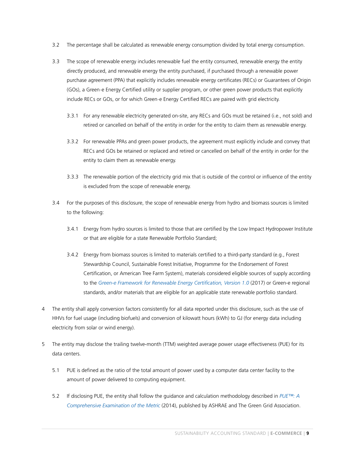- 3.2 The percentage shall be calculated as renewable energy consumption divided by total energy consumption.
- 3.3 The scope of renewable energy includes renewable fuel the entity consumed, renewable energy the entity directly produced, and renewable energy the entity purchased, if purchased through a renewable power purchase agreement (PPA) that explicitly includes renewable energy certificates (RECs) or Guarantees of Origin (GOs), a Green-e Energy Certified utility or supplier program, or other green power products that explicitly include RECs or GOs, or for which Green-e Energy Certified RECs are paired with grid electricity.
	- 3.3.1 For any renewable electricity generated on-site, any RECs and GOs must be retained (i.e., not sold) and retired or cancelled on behalf of the entity in order for the entity to claim them as renewable energy.
	- 3.3.2 For renewable PPAs and green power products, the agreement must explicitly include and convey that RECs and GOs be retained or replaced and retired or cancelled on behalf of the entity in order for the entity to claim them as renewable energy.
	- 3.3.3 The renewable portion of the electricity grid mix that is outside of the control or influence of the entity is excluded from the scope of renewable energy.
- 3.4 For the purposes of this disclosure, the scope of renewable energy from hydro and biomass sources is limited to the following:
	- 3.4.1 Energy from hydro sources is limited to those that are certified by the Low Impact Hydropower Institute or that are eligible for a state Renewable Portfolio Standard;
	- 3.4.2 Energy from biomass sources is limited to materials certified to a third-party standard (e.g., Forest Stewardship Council, Sustainable Forest Initiative, Programme for the Endorsement of Forest Certification, or American Tree Farm System), materials considered eligible sources of supply according to the *[Green-e Framework for Renewable Energy Certification, Version 1.0](https://www.green-e.org/programs/energy/documents)* (2017) or Green-e regional standards, and/or materials that are eligible for an applicable state renewable portfolio standard.
- 4 The entity shall apply conversion factors consistently for all data reported under this disclosure, such as the use of HHVs for fuel usage (including biofuels) and conversion of kilowatt hours (kWh) to GJ (for energy data including electricity from solar or wind energy).
- 5 The entity may disclose the trailing twelve-month (TTM) weighted average power usage effectiveness (PUE) for its data centers.
	- 5.1 PUE is defined as the ratio of the total amount of power used by a computer data center facility to the amount of power delivered to computing equipment.
	- 5.2 If disclosing PUE, the entity shall follow the guidance and calculation methodology described in *[PUE™: A](https://www.thegreengrid.org/en/resources/library-and-tools/20-PUE%3A-A-Comprehensive-Examination-of-the-Metric)  [Comprehensive Examination of the Metric](https://www.thegreengrid.org/en/resources/library-and-tools/20-PUE%3A-A-Comprehensive-Examination-of-the-Metric)* (2014), published by ASHRAE and The Green Grid Association.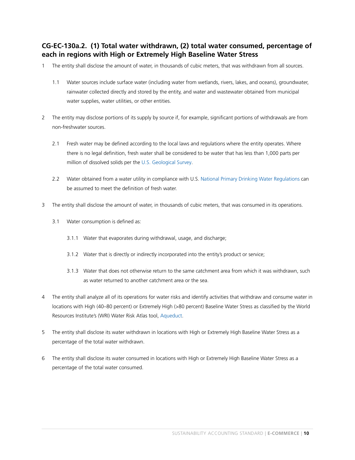#### **CG-EC-130a.2. (1) Total water withdrawn, (2) total water consumed, percentage of each in regions with High or Extremely High Baseline Water Stress**

- 1 The entity shall disclose the amount of water, in thousands of cubic meters, that was withdrawn from all sources.
	- 1.1 Water sources include surface water (including water from wetlands, rivers, lakes, and oceans), groundwater, rainwater collected directly and stored by the entity, and water and wastewater obtained from municipal water supplies, water utilities, or other entities.
- 2 The entity may disclose portions of its supply by source if, for example, significant portions of withdrawals are from non-freshwater sources.
	- 2.1 Fresh water may be defined according to the local laws and regulations where the entity operates. Where there is no legal definition, fresh water shall be considered to be water that has less than 1,000 parts per million of dissolved solids per the [U.S. Geological Survey.](https://water.usgs.gov/edu/dictionary.html)
	- 2.2 Water obtained from a water utility in compliance with U.S. [National Primary Drinking Water Regulations](https://www.epa.gov/ground-water-and-drinking-water/national-primary-drinking-water-regulations) can be assumed to meet the definition of fresh water.
- 3 The entity shall disclose the amount of water, in thousands of cubic meters, that was consumed in its operations.
	- 3.1 Water consumption is defined as:
		- 3.1.1 Water that evaporates during withdrawal, usage, and discharge;
		- 3.1.2 Water that is directly or indirectly incorporated into the entity's product or service;
		- 3.1.3 Water that does not otherwise return to the same catchment area from which it was withdrawn, such as water returned to another catchment area or the sea.
- 4 The entity shall analyze all of its operations for water risks and identify activities that withdraw and consume water in locations with High (40–80 percent) or Extremely High (>80 percent) Baseline Water Stress as classified by the World Resources Institute's (WRI) Water Risk Atlas tool, [Aqueduct.](http://aqueduct.wri.org/atlas)
- 5 The entity shall disclose its water withdrawn in locations with High or Extremely High Baseline Water Stress as a percentage of the total water withdrawn.
- 6 The entity shall disclose its water consumed in locations with High or Extremely High Baseline Water Stress as a percentage of the total water consumed.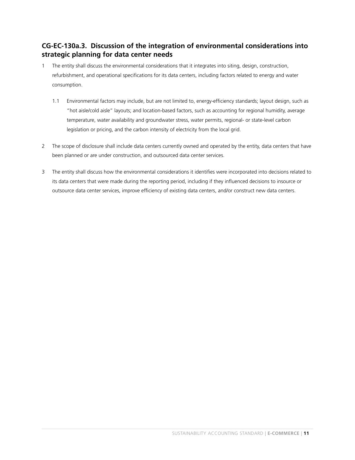#### **CG-EC-130a.3. Discussion of the integration of environmental considerations into strategic planning for data center needs**

- 1 The entity shall discuss the environmental considerations that it integrates into siting, design, construction, refurbishment, and operational specifications for its data centers, including factors related to energy and water consumption.
	- 1.1 Environmental factors may include, but are not limited to, energy-efficiency standards; layout design, such as "hot aisle/cold aisle" layouts; and location-based factors, such as accounting for regional humidity, average temperature, water availability and groundwater stress, water permits, regional- or state-level carbon legislation or pricing, and the carbon intensity of electricity from the local grid.
- 2 The scope of disclosure shall include data centers currently owned and operated by the entity, data centers that have been planned or are under construction, and outsourced data center services.
- 3 The entity shall discuss how the environmental considerations it identifies were incorporated into decisions related to its data centers that were made during the reporting period, including if they influenced decisions to insource or outsource data center services, improve efficiency of existing data centers, and/or construct new data centers.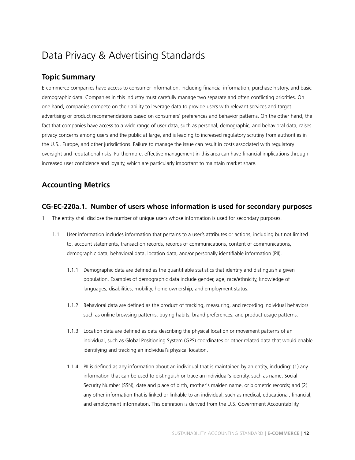## <span id="page-11-0"></span>Data Privacy & Advertising Standards

### **Topic Summary**

E-commerce companies have access to consumer information, including financial information, purchase history, and basic demographic data. Companies in this industry must carefully manage two separate and often conflicting priorities. On one hand, companies compete on their ability to leverage data to provide users with relevant services and target advertising or product recommendations based on consumers' preferences and behavior patterns. On the other hand, the fact that companies have access to a wide range of user data, such as personal, demographic, and behavioral data, raises privacy concerns among users and the public at large, and is leading to increased regulatory scrutiny from authorities in the U.S., Europe, and other jurisdictions. Failure to manage the issue can result in costs associated with regulatory oversight and reputational risks. Furthermore, effective management in this area can have financial implications through increased user confidence and loyalty, which are particularly important to maintain market share.

### **Accounting Metrics**

#### **CG-EC-220a.1. Number of users whose information is used for secondary purposes**

- 1 The entity shall disclose the number of unique users whose information is used for secondary purposes.
	- 1.1 User information includes information that pertains to a user's attributes or actions, including but not limited to, account statements, transaction records, records of communications, content of communications, demographic data, behavioral data, location data, and/or personally identifiable information (PII).
		- 1.1.1 Demographic data are defined as the quantifiable statistics that identify and distinguish a given population. Examples of demographic data include gender, age, race/ethnicity, knowledge of languages, disabilities, mobility, home ownership, and employment status.
		- 1.1.2 Behavioral data are defined as the product of tracking, measuring, and recording individual behaviors such as online browsing patterns, buying habits, brand preferences, and product usage patterns.
		- 1.1.3 Location data are defined as data describing the physical location or movement patterns of an individual, such as Global Positioning System (GPS) coordinates or other related data that would enable identifying and tracking an individual's physical location.
		- 1.1.4 PII is defined as any information about an individual that is maintained by an entity, including: (1) any information that can be used to distinguish or trace an individual's identity, such as name, Social Security Number (SSN), date and place of birth, mother's maiden name, or biometric records; and (2) any other information that is linked or linkable to an individual, such as medical, educational, financial, and employment information. This definition is derived from the U.S. Government Accountability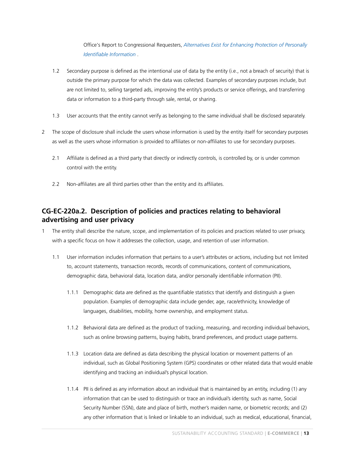Office's Report to Congressional Requesters, *[Alternatives Exist for Enhancing Protection of Personally](https://www.gao.gov/new.items/d08536.pdf)  [Identifiable Information](https://www.gao.gov/new.items/d08536.pdf)* .

- 1.2 Secondary purpose is defined as the intentional use of data by the entity (i.e., not a breach of security) that is outside the primary purpose for which the data was collected. Examples of secondary purposes include, but are not limited to, selling targeted ads, improving the entity's products or service offerings, and transferring data or information to a third-party through sale, rental, or sharing.
- 1.3 User accounts that the entity cannot verify as belonging to the same individual shall be disclosed separately.
- 2 The scope of disclosure shall include the users whose information is used by the entity itself for secondary purposes as well as the users whose information is provided to affiliates or non-affiliates to use for secondary purposes.
	- 2.1 Affiliate is defined as a third party that directly or indirectly controls, is controlled by, or is under common control with the entity.
	- 2.2 Non-affiliates are all third parties other than the entity and its affiliates.

#### **CG-EC-220a.2. Description of policies and practices relating to behavioral advertising and user privacy**

- 1 The entity shall describe the nature, scope, and implementation of its policies and practices related to user privacy, with a specific focus on how it addresses the collection, usage, and retention of user information.
	- 1.1 User information includes information that pertains to a user's attributes or actions, including but not limited to, account statements, transaction records, records of communications, content of communications, demographic data, behavioral data, location data, and/or personally identifiable information (PII).
		- 1.1.1 Demographic data are defined as the quantifiable statistics that identify and distinguish a given population. Examples of demographic data include gender, age, race/ethnicity, knowledge of languages, disabilities, mobility, home ownership, and employment status.
		- 1.1.2 Behavioral data are defined as the product of tracking, measuring, and recording individual behaviors, such as online browsing patterns, buying habits, brand preferences, and product usage patterns.
		- 1.1.3 Location data are defined as data describing the physical location or movement patterns of an individual, such as Global Positioning System (GPS) coordinates or other related data that would enable identifying and tracking an individual's physical location.
		- 1.1.4 PII is defined as any information about an individual that is maintained by an entity, including (1) any information that can be used to distinguish or trace an individual's identity, such as name, Social Security Number (SSN), date and place of birth, mother's maiden name, or biometric records; and (2) any other information that is linked or linkable to an individual, such as medical, educational, financial,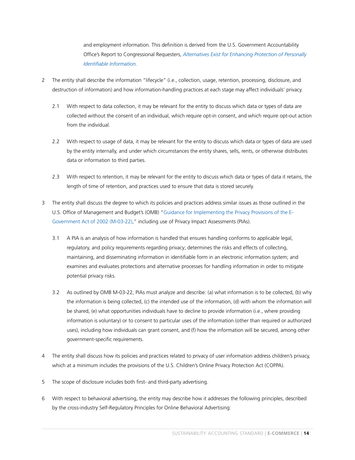and employment information. This definition is derived from the U.S. Government Accountability Office's Report to Congressional Requesters, *[Alternatives Exist for Enhancing Protection of Personally](https://www.gao.gov/new.items/d08536.pdf)  [Identifiable Information.](https://www.gao.gov/new.items/d08536.pdf)*

- 2 The entity shall describe the information "lifecycle" (i.e., collection, usage, retention, processing, disclosure, and destruction of information) and how information-handling practices at each stage may affect individuals' privacy.
	- 2.1 With respect to data collection, it may be relevant for the entity to discuss which data or types of data are collected without the consent of an individual, which require opt-in consent, and which require opt-out action from the individual.
	- 2.2 With respect to usage of data, it may be relevant for the entity to discuss which data or types of data are used by the entity internally, and under which circumstances the entity shares, sells, rents, or otherwise distributes data or information to third parties.
	- 2.3 With respect to retention, it may be relevant for the entity to discuss which data or types of data it retains, the length of time of retention, and practices used to ensure that data is stored securely.
- 3 The entity shall discuss the degree to which its policies and practices address similar issues as those outlined in the U.S. Office of Management and Budget's (OMB) ["Guidance for Implementing the Privacy Provisions of the E-](https://www.whitehouse.gov/wp-content/uploads/2017/11/203-M-03-22-OMB-Guidance-for-Implementing-the-Privacy-Provisions-of-the-E-Government-Act-of-2002-1.pdf)[Government Act of 2002 \(M-03-22\),](https://www.whitehouse.gov/wp-content/uploads/2017/11/203-M-03-22-OMB-Guidance-for-Implementing-the-Privacy-Provisions-of-the-E-Government-Act-of-2002-1.pdf)" including use of Privacy Impact Assessments (PIAs).
	- 3.1 A PIA is an analysis of how information is handled that ensures handling conforms to applicable legal, regulatory, and policy requirements regarding privacy; determines the risks and effects of collecting, maintaining, and disseminating information in identifiable form in an electronic information system; and examines and evaluates protections and alternative processes for handling information in order to mitigate potential privacy risks.
	- 3.2 As outlined by OMB M-03-22, PIAs must analyze and describe: (a) what information is to be collected, (b) why the information is being collected, (c) the intended use of the information, (d) with whom the information will be shared, (e) what opportunities individuals have to decline to provide information (i.e., where providing information is voluntary) or to consent to particular uses of the information (other than required or authorized uses), including how individuals can grant consent, and (f) how the information will be secured, among other government-specific requirements.
- 4 The entity shall discuss how its policies and practices related to privacy of user information address children's privacy, which at a minimum includes the provisions of the U.S. Children's Online Privacy Protection Act (COPPA).
- 5 The scope of disclosure includes both first- and third-party advertising.
- 6 With respect to behavioral advertising, the entity may describe how it addresses the following principles, described by the cross-industry Self-Regulatory Principles for Online Behavioral Advertising: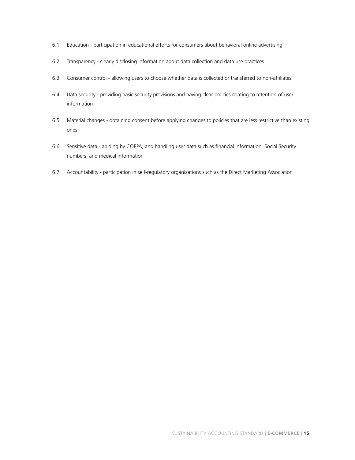- 6.1 Education participation in educational efforts for consumers about behavioral online advertising
- 6.2 Transparency clearly disclosing information about data collection and data use practices
- 6.3 Consumer control allowing users to choose whether data is collected or transferred to non-affiliates
- 6.4 Data security providing basic security provisions and having clear policies relating to retention of user information
- 6.5 Material changes obtaining consent before applying changes to policies that are less restrictive than existing ones
- 6.6 Sensitive data abiding by COPPA, and handling user data such as financial information, Social Security numbers, and medical information
- 6.7 Accountability participation in self-regulatory organizations such as the Direct Marketing Association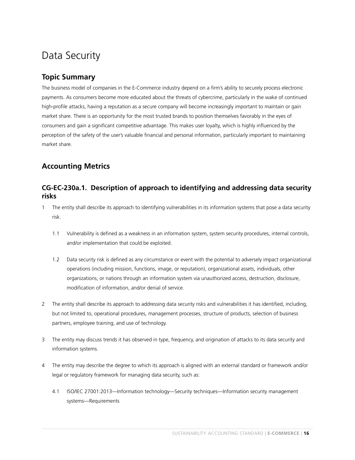## <span id="page-15-0"></span>Data Security

### **Topic Summary**

The business model of companies in the E-Commerce industry depend on a firm's ability to securely process electronic payments. As consumers become more educated about the threats of cybercrime, particularly in the wake of continued high-profile attacks, having a reputation as a secure company will become increasingly important to maintain or gain market share. There is an opportunity for the most trusted brands to position themselves favorably in the eyes of consumers and gain a significant competitive advantage. This makes user loyalty, which is highly influenced by the perception of the safety of the user's valuable financial and personal information, particularly important to maintaining market share.

### **Accounting Metrics**

#### **CG-EC-230a.1. Description of approach to identifying and addressing data security risks**

- 1 The entity shall describe its approach to identifying vulnerabilities in its information systems that pose a data security risk.
	- 1.1 Vulnerability is defined as a weakness in an information system, system security procedures, internal controls, and/or implementation that could be exploited.
	- 1.2 Data security risk is defined as any circumstance or event with the potential to adversely impact organizational operations (including mission, functions, image, or reputation), organizational assets, individuals, other organizations, or nations through an information system via unauthorized access, destruction, disclosure, modification of information, and/or denial of service.
- 2 The entity shall describe its approach to addressing data security risks and vulnerabilities it has identified, including, but not limited to, operational procedures, management processes, structure of products, selection of business partners, employee training, and use of technology.
- 3 The entity may discuss trends it has observed in type, frequency, and origination of attacks to its data security and information systems.
- 4 The entity may describe the degree to which its approach is aligned with an external standard or framework and/or legal or regulatory framework for managing data security, such as:
	- 4.1 ISO/IEC 27001:2013—Information technology—Security techniques—Information security management systems—Requirements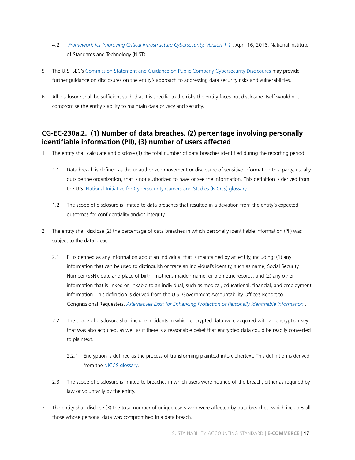- 4.2 *[Framework for Improving Critical Infrastructure Cybersecurity, Version 1.1](https://nvlpubs.nist.gov/nistpubs/CSWP/NIST.CSWP.04162018.pdf)* , April 16, 2018, National Institute of Standards and Technology (NIST)
- 5 The U.S. SEC's [Commission Statement and Guidance on Public Company Cybersecurity Disclosures](https://www.sec.gov/rules/interp/2018/33-10459.pdf) may provide further guidance on disclosures on the entity's approach to addressing data security risks and vulnerabilities.
- 6 All disclosure shall be sufficient such that it is specific to the risks the entity faces but disclosure itself would not compromise the entity's ability to maintain data privacy and security.

#### **CG-EC-230a.2. (1) Number of data breaches, (2) percentage involving personally identifiable information (PII), (3) number of users affected**

- 1 The entity shall calculate and disclose (1) the total number of data breaches identified during the reporting period.
	- 1.1 Data breach is defined as the unauthorized movement or disclosure of sensitive information to a party, usually outside the organization, that is not authorized to have or see the information. This definition is derived from the U.S. [National Initiative for Cybersecurity Careers and Studies \(NICCS\) glossary.](https://niccs.us-cert.gov/glossary)
	- 1.2 The scope of disclosure is limited to data breaches that resulted in a deviation from the entity's expected outcomes for confidentiality and/or integrity.
- 2 The entity shall disclose (2) the percentage of data breaches in which personally identifiable information (PII) was subject to the data breach.
	- 2.1 PII is defined as any information about an individual that is maintained by an entity, including: (1) any information that can be used to distinguish or trace an individual's identity, such as name, Social Security Number (SSN), date and place of birth, mother's maiden name, or biometric records; and (2) any other information that is linked or linkable to an individual, such as medical, educational, financial, and employment information. This definition is derived from the U.S. Government Accountability Office's Report to Congressional Requesters, *[Alternatives Exist for Enhancing Protection of Personally Identifiable Information](https://www.gao.gov/new.items/d08536.pdf)* .
	- 2.2 The scope of disclosure shall include incidents in which encrypted data were acquired with an encryption key that was also acquired, as well as if there is a reasonable belief that encrypted data could be readily converted to plaintext.
		- 2.2.1 Encryption is defined as the process of transforming plaintext into ciphertext. This definition is derived from the [NICCS glossary.](https://niccs.us-cert.gov/glossary)
	- 2.3 The scope of disclosure is limited to breaches in which users were notified of the breach, either as required by law or voluntarily by the entity.
- 3 The entity shall disclose (3) the total number of unique users who were affected by data breaches, which includes all those whose personal data was compromised in a data breach.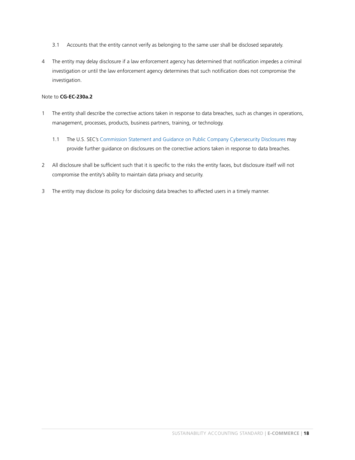- 3.1 Accounts that the entity cannot verify as belonging to the same user shall be disclosed separately.
- 4 The entity may delay disclosure if a law enforcement agency has determined that notification impedes a criminal investigation or until the law enforcement agency determines that such notification does not compromise the investigation.

#### Note to **CG-EC-230a.2**

- 1 The entity shall describe the corrective actions taken in response to data breaches, such as changes in operations, management, processes, products, business partners, training, or technology.
	- 1.1 The U.S. SEC's [Commission Statement and Guidance on Public Company Cybersecurity Disclosures](https://www.sec.gov/rules/interp/2018/33-10459.pdf) may provide further guidance on disclosures on the corrective actions taken in response to data breaches.
- 2 All disclosure shall be sufficient such that it is specific to the risks the entity faces, but disclosure itself will not compromise the entity's ability to maintain data privacy and security.
- 3 The entity may disclose its policy for disclosing data breaches to affected users in a timely manner.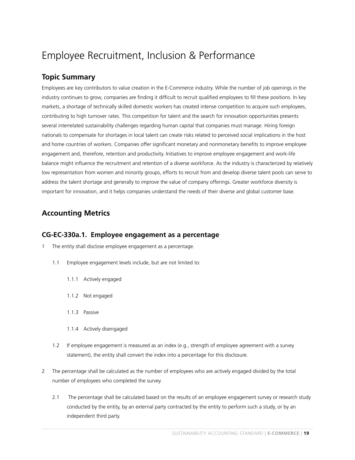## <span id="page-18-0"></span>Employee Recruitment, Inclusion & Performance

### **Topic Summary**

Employees are key contributors to value creation in the E-Commerce industry. While the number of job openings in the industry continues to grow, companies are finding it difficult to recruit qualified employees to fill these positions. In key markets, a shortage of technically skilled domestic workers has created intense competition to acquire such employees, contributing to high turnover rates. This competition for talent and the search for innovation opportunities presents several interrelated sustainability challenges regarding human capital that companies must manage. Hiring foreign nationals to compensate for shortages in local talent can create risks related to perceived social implications in the host and home countries of workers. Companies offer significant monetary and nonmonetary benefits to improve employee engagement and, therefore, retention and productivity. Initiatives to improve employee engagement and work-life balance might influence the recruitment and retention of a diverse workforce. As the industry is characterized by relatively low representation from women and minority groups, efforts to recruit from and develop diverse talent pools can serve to address the talent shortage and generally to improve the value of company offerings. Greater workforce diversity is important for innovation, and it helps companies understand the needs of their diverse and global customer base.

### **Accounting Metrics**

#### **CG-EC-330a.1. Employee engagement as a percentage**

- 1 The entity shall disclose employee engagement as a percentage.
	- 1.1 Employee engagement levels include, but are not limited to:
		- 1.1.1 Actively engaged
		- 1.1.2 Not engaged
		- 1.1.3 Passive
		- 1.1.4 Actively disengaged
	- 1.2 If employee engagement is measured as an index (e.g., strength of employee agreement with a survey statement), the entity shall convert the index into a percentage for this disclosure.
- 2 The percentage shall be calculated as the number of employees who are actively engaged divided by the total number of employees who completed the survey.
	- 2.1 The percentage shall be calculated based on the results of an employee engagement survey or research study conducted by the entity, by an external party contracted by the entity to perform such a study, or by an independent third party.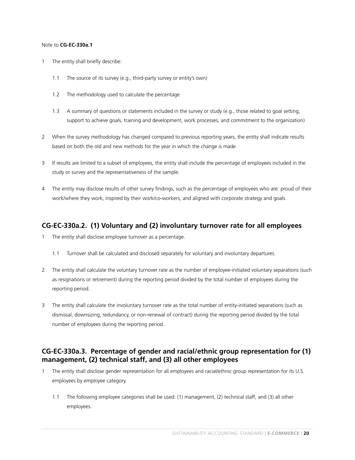#### Note to **CG-EC-330a.1**

- The entity shall briefly describe:
	- 1.1 The source of its survey (e.g., third-party survey or entity's own)
	- 1.2 The methodology used to calculate the percentage
	- 1.3 A summary of questions or statements included in the survey or study (e.g., those related to goal setting, support to achieve goals, training and development, work processes, and commitment to the organization)
- 2 When the survey methodology has changed compared to previous reporting years, the entity shall indicate results based on both the old and new methods for the year in which the change is made.
- 3 If results are limited to a subset of employees, the entity shall include the percentage of employees included in the study or survey and the representativeness of the sample.
- 4 The entity may disclose results of other survey findings, such as the percentage of employees who are: proud of their work/where they work, inspired by their work/co-workers, and aligned with corporate strategy and goals.

#### **CG-EC-330a.2. (1) Voluntary and (2) involuntary turnover rate for all employees**

- 1 The entity shall disclose employee turnover as a percentage.
	- 1.1 Turnover shall be calculated and disclosed separately for voluntary and involuntary departures.
- 2 The entity shall calculate the voluntary turnover rate as the number of employee-initiated voluntary separations (such as resignations or retirement) during the reporting period divided by the total number of employees during the reporting period.
- 3 The entity shall calculate the involuntary turnover rate as the total number of entity-initiated separations (such as dismissal, downsizing, redundancy, or non-renewal of contract) during the reporting period divided by the total number of employees during the reporting period.

#### **CG-EC-330a.3. Percentage of gender and racial/ethnic group representation for (1) management, (2) technical staff, and (3) all other employees**

- 1 The entity shall disclose gender representation for all employees and racial/ethnic group representation for its U.S. employees by employee category.
	- 1.1 The following employee categories shall be used: (1) management, (2) technical staff, and (3) all other employees.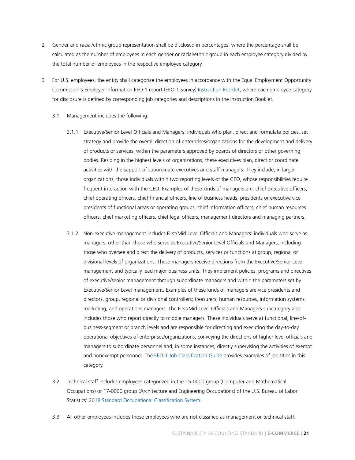- 2 Gender and racial/ethnic group representation shall be disclosed in percentages, where the percentage shall be calculated as the number of employees in each gender or racial/ethnic group in each employee category divided by the total number of employees in the respective employee category.
- 3 For U.S. employees, the entity shall categorize the employees in accordance with the Equal Employment Opportunity Commission's Employer Information EEO-1 report (EEO-1 Survey) [Instruction Booklet,](https://www.eeoc.gov/employers/eeo1survey/2007instructions.cfm) where each employee category for disclosure is defined by corresponding job categories and descriptions in the Instruction Booklet.
	- 3.1 Management includes the following:
		- 3.1.1 Executive/Senior Level Officials and Managers: individuals who plan, direct and formulate policies, set strategy and provide the overall direction of enterprises/organizations for the development and delivery of products or services, within the parameters approved by boards of directors or other governing bodies. Residing in the highest levels of organizations, these executives plan, direct or coordinate activities with the support of subordinate executives and staff managers. They include, in larger organizations, those individuals within two reporting levels of the CEO, whose responsibilities require frequent interaction with the CEO. Examples of these kinds of managers are: chief executive officers, chief operating officers, chief financial officers, line of business heads, presidents or executive vice presidents of functional areas or operating groups, chief information officers, chief human resources officers, chief marketing officers, chief legal officers, management directors and managing partners.
		- 3.1.2 Non-executive management includes First/Mid Level Officials and Managers: individuals who serve as managers, other than those who serve as Executive/Senior Level Officials and Managers, including those who oversee and direct the delivery of products, services or functions at group, regional or divisional levels of organizations. These managers receive directions from the Executive/Senior Level management and typically lead major business units. They implement policies, programs and directives of executive/senior management through subordinate managers and within the parameters set by Executive/Senior Level management. Examples of these kinds of managers are vice presidents and directors, group, regional or divisional controllers; treasurers; human resources, information systems, marketing, and operations managers. The First/Mid Level Officials and Managers subcategory also includes those who report directly to middle managers. These individuals serve at functional, line-ofbusiness-segment or branch levels and are responsible for directing and executing the day-to-day operational objectives of enterprises/organizations, conveying the directions of higher level officials and managers to subordinate personnel and, in some instances, directly supervising the activities of exempt and nonexempt personnel. The [EEO-1 Job Classification Guide](https://www.eeoc.gov/employers/eeo1survey/jobclassguide.cfm) provides examples of job titles in this category.
	- 3.2 Technical staff includes employees categorized in the 15-0000 group (Computer and Mathematical Occupations) or 17-0000 group (Architecture and Engineering Occupations) of the U.S. Bureau of Labor Statistics' [2018 Standard Occupational Classification System.](https://www.bls.gov/soc/2018/major_groups.htm)
	- 3.3 All other employees includes those employees who are not classified as management or technical staff.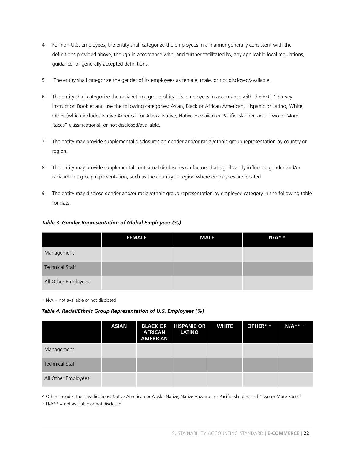- 4 For non-U.S. employees, the entity shall categorize the employees in a manner generally consistent with the definitions provided above, though in accordance with, and further facilitated by, any applicable local regulations, guidance, or generally accepted definitions.
- 5 The entity shall categorize the gender of its employees as female, male, or not disclosed/available.
- 6 The entity shall categorize the racial/ethnic group of its U.S. employees in accordance with the EEO-1 Survey Instruction Booklet and use the following categories: Asian, Black or African American, Hispanic or Latino, White, Other (which includes Native American or Alaska Native, Native Hawaiian or Pacific Islander, and "Two or More Races" classifications), or not disclosed/available.
- 7 The entity may provide supplemental disclosures on gender and/or racial/ethnic group representation by country or region.
- 8 The entity may provide supplemental contextual disclosures on factors that significantly influence gender and/or racial/ethnic group representation, such as the country or region where employees are located.
- 9 The entity may disclose gender and/or racial/ethnic group representation by employee category in the following table formats:

#### *Table 3. Gender Representation of Global Employees (%)*

|                        | <b>FEMALE</b> | <b>MALE</b> | $N/A$ * * |
|------------------------|---------------|-------------|-----------|
| Management             |               |             |           |
| <b>Technical Staff</b> |               |             |           |
| All Other Employees    |               |             |           |

<span id="page-21-2"></span>\* N/A = not available or not disclosed

#### *Table 4. Racial/Ethnic Group Representation of U.S. Employees (%)*

|                        | <b>ASIAN</b> | <b>BLACK OR</b><br><b>AFRICAN</b><br><b>AMERICAN</b> | <b>HISPANIC OR</b><br><b>LATINO</b> | <b>WHITE</b> | <b>OTHER*</b> ^ | $N/A**$ |
|------------------------|--------------|------------------------------------------------------|-------------------------------------|--------------|-----------------|---------|
| Management             |              |                                                      |                                     |              |                 |         |
| <b>Technical Staff</b> |              |                                                      |                                     |              |                 |         |
| All Other Employees    |              |                                                      |                                     |              |                 |         |

<span id="page-21-1"></span>^ Other includes the classifications: Native American or Alaska Native, Native Hawaiian or Pacific Islander, and "Two or More Races"

<span id="page-21-0"></span>\* N/A\*\* = not available or not disclosed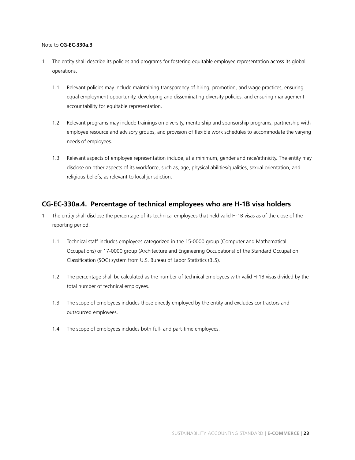#### Note to **CG-EC-330a.3**

- 1 The entity shall describe its policies and programs for fostering equitable employee representation across its global operations.
	- 1.1 Relevant policies may include maintaining transparency of hiring, promotion, and wage practices, ensuring equal employment opportunity, developing and disseminating diversity policies, and ensuring management accountability for equitable representation.
	- 1.2 Relevant programs may include trainings on diversity, mentorship and sponsorship programs, partnership with employee resource and advisory groups, and provision of flexible work schedules to accommodate the varying needs of employees.
	- 1.3 Relevant aspects of employee representation include, at a minimum, gender and race/ethnicity. The entity may disclose on other aspects of its workforce, such as, age, physical abilities/qualities, sexual orientation, and religious beliefs, as relevant to local jurisdiction.

#### **CG-EC-330a.4. Percentage of technical employees who are H-1B visa holders**

- 1 The entity shall disclose the percentage of its technical employees that held valid H-1B visas as of the close of the reporting period.
	- 1.1 Technical staff includes employees categorized in the 15-0000 group (Computer and Mathematical Occupations) or 17-0000 group (Architecture and Engineering Occupations) of the Standard Occupation Classification (SOC) system from U.S. Bureau of Labor Statistics (BLS).
	- 1.2 The percentage shall be calculated as the number of technical employees with valid H-1B visas divided by the total number of technical employees.
	- 1.3 The scope of employees includes those directly employed by the entity and excludes contractors and outsourced employees.
	- 1.4 The scope of employees includes both full- and part-time employees.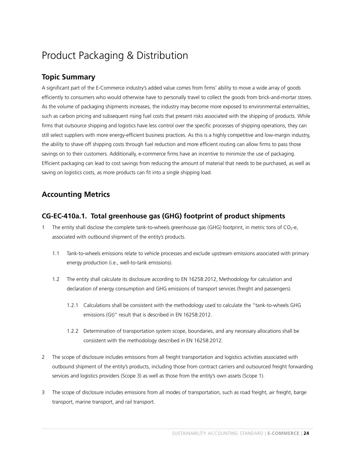## <span id="page-23-0"></span>Product Packaging & Distribution

### **Topic Summary**

A significant part of the E-Commerce industry's added value comes from firms' ability to move a wide array of goods efficiently to consumers who would otherwise have to personally travel to collect the goods from brick-and-mortar stores. As the volume of packaging shipments increases, the industry may become more exposed to environmental externalities, such as carbon pricing and subsequent rising fuel costs that present risks associated with the shipping of products. While firms that outsource shipping and logistics have less control over the specific processes of shipping operations, they can still select suppliers with more energy-efficient business practices. As this is a highly competitive and low-margin industry, the ability to shave off shipping costs through fuel reduction and more efficient routing can allow firms to pass those savings on to their customers. Additionally, e-commerce firms have an incentive to minimize the use of packaging. Efficient packaging can lead to cost savings from reducing the amount of material that needs to be purchased, as well as saving on logistics costs, as more products can fit into a single shipping load.

## **Accounting Metrics**

#### **CG-EC-410a.1. Total greenhouse gas (GHG) footprint of product shipments**

- 1 The entity shall disclose the complete tank-to-wheels greenhouse gas (GHG) footprint, in metric tons of  $CO<sub>2</sub>$ -e, associated with outbound shipment of the entity's products.
	- 1.1 Tank-to-wheels emissions relate to vehicle processes and exclude upstream emissions associated with primary energy production (i.e., well-to-tank emissions).
	- 1.2 The entity shall calculate its disclosure according to EN 16258:2012, Methodology for calculation and declaration of energy consumption and GHG emissions of transport services (freight and passengers).
		- 1.2.1 Calculations shall be consistent with the methodology used to calculate the "tank-to-wheels GHG emissions (Gt)" result that is described in EN 16258:2012.
		- 1.2.2 Determination of transportation system scope, boundaries, and any necessary allocations shall be consistent with the methodology described in EN 16258:2012.
- 2 The scope of disclosure includes emissions from all freight transportation and logistics activities associated with outbound shipment of the entity's products, including those from contract carriers and outsourced freight forwarding services and logistics providers (Scope 3) as well as those from the entity's own assets (Scope 1).
- 3 The scope of disclosure includes emissions from all modes of transportation, such as road freight, air freight, barge transport, marine transport, and rail transport.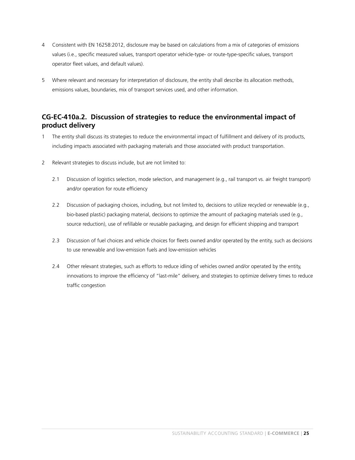- 4 Consistent with EN 16258:2012, disclosure may be based on calculations from a mix of categories of emissions values (i.e., specific measured values, transport operator vehicle-type- or route-type-specific values, transport operator fleet values, and default values).
- 5 Where relevant and necessary for interpretation of disclosure, the entity shall describe its allocation methods, emissions values, boundaries, mix of transport services used, and other information.

#### **CG-EC-410a.2. Discussion of strategies to reduce the environmental impact of product delivery**

- 1 The entity shall discuss its strategies to reduce the environmental impact of fulfillment and delivery of its products, including impacts associated with packaging materials and those associated with product transportation.
- 2 Relevant strategies to discuss include, but are not limited to:
	- 2.1 Discussion of logistics selection, mode selection, and management (e.g., rail transport vs. air freight transport) and/or operation for route efficiency
	- 2.2 Discussion of packaging choices, including, but not limited to, decisions to utilize recycled or renewable (e.g., bio-based plastic) packaging material, decisions to optimize the amount of packaging materials used (e.g., source reduction), use of refillable or reusable packaging, and design for efficient shipping and transport
	- 2.3 Discussion of fuel choices and vehicle choices for fleets owned and/or operated by the entity, such as decisions to use renewable and low-emission fuels and low-emission vehicles
	- 2.4 Other relevant strategies, such as efforts to reduce idling of vehicles owned and/or operated by the entity, innovations to improve the efficiency of "last-mile" delivery, and strategies to optimize delivery times to reduce traffic congestion